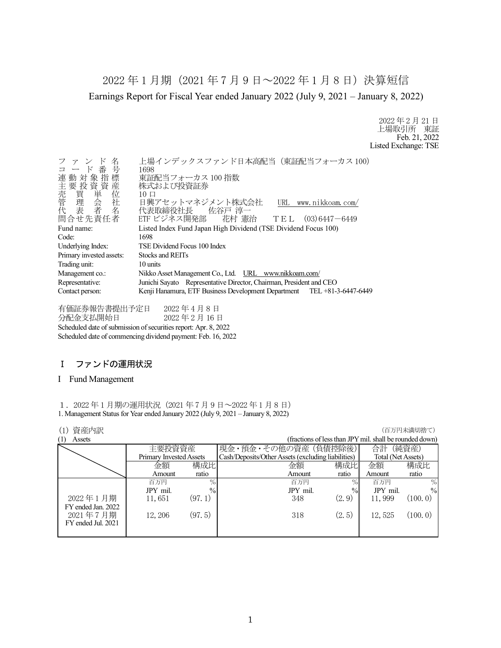2022 年 1 月期(2021 年 7 月 9 日~2022 年 1 月 8 日)決算短信 Earnings Report for Fiscal Year ended January 2022 (July 9, 2021 – January 8, 2022)

> 2022 年 2 月 21 日 上場取引所 東証 Feb. 21, 2022 Listed Exchange: TSE

| ファンド名<br>コード番号<br>連動対象指標<br>主要投資資産<br>·売管理表<br>管理表<br>代表                               | 上場インデックスファンド日本高配当 (東証配当フォーカス100)<br>1698<br>東証配当フォーカス 100 指数<br>株式および投資証券<br>$10 \Box$<br>日興アセットマネジメント株式会社<br>URL www.nikkoam.com/<br>代表取締役社長  佐谷戸 淳一 |  |
|----------------------------------------------------------------------------------------|-------------------------------------------------------------------------------------------------------------------------------------------------------|--|
| 問合せ先責任者                                                                                | ETF ビジネス開発部 花村 憲治 TEL (03)6447-6449                                                                                                                   |  |
| Fund name:                                                                             | Listed Index Fund Japan High Dividend (TSE Dividend Focus 100)                                                                                        |  |
| Code:                                                                                  | 1698                                                                                                                                                  |  |
| Underlying Index:                                                                      | TSE Dividend Focus 100 Index                                                                                                                          |  |
| Primary invested assets:                                                               | Stocks and REITs                                                                                                                                      |  |
| Trading unit:                                                                          | 10 units                                                                                                                                              |  |
| Nikko Asset Management Co., Ltd. URL www.nikkoam.com/<br>Management co.:               |                                                                                                                                                       |  |
| Junichi Sayato Representative Director, Chairman, President and CEO<br>Representative: |                                                                                                                                                       |  |
| Contact person:                                                                        | Kenji Hanamura, ETF Business Development Department TEL +81-3-6447-6449                                                                               |  |

有価証券報告書提出予定日 2022 年 4 月 8 日 分配金支払開始日 2022 年 2 月 16 日 Scheduled date of submission of securities report: Apr. 8, 2022 Scheduled date of commencing dividend payment: Feb. 16, 2022

### Ⅰ ファンドの運用状況

#### I Fund Management

1.2022 年 1 月期の運用状況(2021 年 7 月 9 日~2022 年 1 月 8 日) 1. Management Status for Year ended January 2022 (July 9, 2021 – January 8, 2022)

#### **(1) 資産内訳 インフィング インフィング (1) する (1) する (1) する (1) する (1) する (1) する (1) する (1) する (**

| (fractions of less than JPY mil. shall be rounded down) |
|---------------------------------------------------------|
| (純資産)                                                   |
| Total (Net Assets)                                      |
| 構成比                                                     |
| ratio                                                   |
| $\%$                                                    |
| $\frac{0}{0}$                                           |
| (100.0)                                                 |
|                                                         |
| (100.0)                                                 |
|                                                         |
|                                                         |
|                                                         |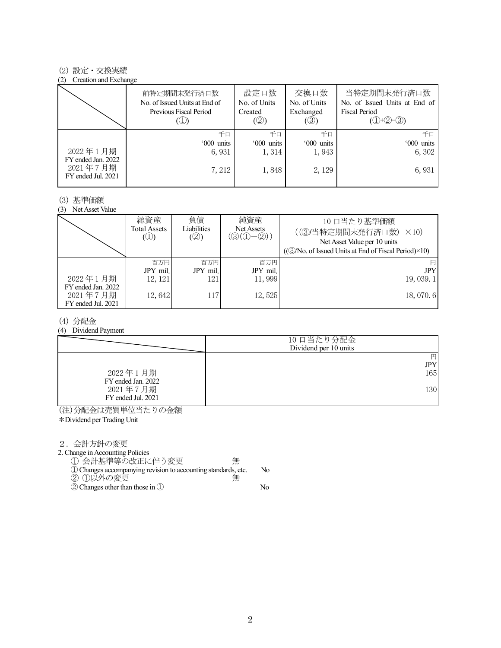#### (2) 設定・交換実績

#### (2) Creation and Exchange

|                                                      | 前特定期間末発行済口数<br>No. of Issued Units at End of<br>Previous Fiscal Period | 設定口数<br>No. of Units<br>Created<br>(②) | 交換口数<br>No. of Units<br>Exchanged<br>(③) | 当特定期間末発行済口数<br>No. of Issued Units at End of<br><b>Fiscal Period</b><br>$(①+②-③)$ |
|------------------------------------------------------|------------------------------------------------------------------------|----------------------------------------|------------------------------------------|-----------------------------------------------------------------------------------|
|                                                      | 千口                                                                     | 千口                                     | 千口                                       | 千口                                                                                |
|                                                      | '000 units                                                             | '000 units                             | '000 units                               | '000 units                                                                        |
| 2022年1月期                                             | 6,931                                                                  | 1,314                                  | 1,943                                    | 6, 302                                                                            |
| FY ended Jan. 2022<br>2021年7月期<br>FY ended Jul. 2021 | 7, 212                                                                 | 1,848                                  | 2, 129                                   | 6,931                                                                             |

#### (3) 基準価額

(3) Net Asset Value

|                                                      | 総資産<br>Total Assets<br>$\circledcirc$ | 負債<br>Liabilities<br>(②) | 純資産<br>Net Assets<br>$(\textcircled{3}(\textcircled{1}-\textcircled{2}))$ | 10 口当たり基準価額<br>((3)当特定期間末発行済口数)<br>$\times$ 10)<br>Net Asset Value per 10 units<br>$((\textcircled{3}/No. of Issued Units at End of Fiscal Period)\times10)$ |
|------------------------------------------------------|---------------------------------------|--------------------------|---------------------------------------------------------------------------|--------------------------------------------------------------------------------------------------------------------------------------------------------------|
|                                                      | 百万円                                   | 百万円                      | 百万円                                                                       |                                                                                                                                                              |
|                                                      | JPY mil.                              | JPY mil.                 | JPY mil.                                                                  | <b>JPY</b>                                                                                                                                                   |
| 2022年1月期                                             | 12, 121                               | 121                      | 11,999                                                                    | 19, 039, 1                                                                                                                                                   |
| FY ended Jan. 2022<br>2021年7月期<br>FY ended Jul. 2021 | 12,642                                | 117                      | 12,525                                                                    | 18,070.6                                                                                                                                                     |

#### (4) 分配金

(4) Dividend Payment

|                                | 10 口当たり分配金<br>Dividend per 10 units |
|--------------------------------|-------------------------------------|
| 2022年1月期<br>FY ended Jan. 2022 | 円<br><b>JPY</b><br>165              |
| 2021年7月期<br>FY ended Jul. 2021 | 130                                 |

(注)分配金は売買単位当たりの金額

\*Dividend per Trading Unit

2.会計方針の変更

2. Change in Accounting Policies

① 会計基準等の改正に伴う変更 無 ①Changes accompanying revision to accounting standards, etc. No

- ② ①以外の変更 無
- ②Changes other than those in ① No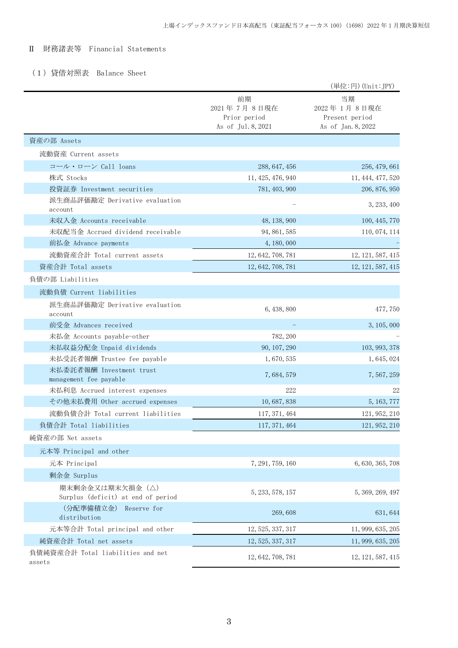#### Ⅱ 財務諸表等 Financial Statements

### (1)貸借対照表 Balance Sheet

|                                                       |                                                         | (単位:円) (Unit: JPY)                                        |
|-------------------------------------------------------|---------------------------------------------------------|-----------------------------------------------------------|
|                                                       | 前期<br>2021年7月8日現在<br>Prior period<br>As of Jul. 8, 2021 | 当期<br>2022年1月8日現在<br>Present period<br>As of Jan. 8, 2022 |
| 資産の部 Assets                                           |                                                         |                                                           |
| 流動資産 Current assets                                   |                                                         |                                                           |
| コール・ローン Call loans                                    | 288, 647, 456                                           | 256, 479, 661                                             |
| 株式 Stocks                                             | 11, 425, 476, 940                                       | 11, 444, 477, 520                                         |
| 投資証券 Investment securities                            | 781, 403, 900                                           | 206, 876, 950                                             |
| 派生商品評価勘定 Derivative evaluation<br>account             |                                                         | 3, 233, 400                                               |
| 未収入金 Accounts receivable                              | 48, 138, 900                                            | 100, 445, 770                                             |
| 未収配当金 Accrued dividend receivable                     | 94, 861, 585                                            | 110, 074, 114                                             |
| 前払金 Advance payments                                  | 4, 180, 000                                             |                                                           |
| 流動資産合計 Total current assets                           | 12, 642, 708, 781                                       | 12, 121, 587, 415                                         |
| 資産合計 Total assets                                     | 12, 642, 708, 781                                       | 12, 121, 587, 415                                         |
| 負債の部 Liabilities                                      |                                                         |                                                           |
| 流動負債 Current liabilities                              |                                                         |                                                           |
| 派生商品評価勘定 Derivative evaluation<br>account             | 6, 438, 800                                             | 477, 750                                                  |
| 前受金 Advances received                                 |                                                         | 3, 105, 000                                               |
| 未払金 Accounts payable-other                            | 782, 200                                                |                                                           |
| 未払収益分配金 Unpaid dividends                              | 90, 107, 290                                            | 103, 993, 378                                             |
| 未払受託者報酬 Trustee fee payable                           | 1,670,535                                               | 1, 645, 024                                               |
| 未払委託者報酬 Investment trust<br>management fee payable    | 7,684,579                                               | 7, 567, 259                                               |
| 未払利息 Accrued interest expenses                        | 222                                                     | 22                                                        |
| その他未払費用 Other accrued expenses                        | 10, 687, 838                                            | 5, 163, 777                                               |
| 流動負債合計 Total current liabilities                      | 117, 371, 464                                           | 121, 952, 210                                             |
| 負債合計 Total liabilities                                | 117, 371, 464                                           | 121, 952, 210                                             |
| 純資産の部 Net assets                                      |                                                         |                                                           |
| 元本等 Principal and other                               |                                                         |                                                           |
| 元本 Principal                                          | 7, 291, 759, 160                                        | 6, 630, 365, 708                                          |
| 剰余金 Surplus                                           |                                                         |                                                           |
| 期末剰余金又は期末欠損金(△)<br>Surplus (deficit) at end of period | 5, 233, 578, 157                                        | 5, 369, 269, 497                                          |
| (分配準備積立金)<br>Reserve for<br>distribution              | 269,608                                                 | 631, 644                                                  |
| 元本等合計 Total principal and other                       | 12, 525, 337, 317                                       | 11, 999, 635, 205                                         |
| 純資産合計 Total net assets                                | 12, 525, 337, 317                                       | 11, 999, 635, 205                                         |
| 負債純資産合計 Total liabilities and net<br>assets           | 12, 642, 708, 781                                       | 12, 121, 587, 415                                         |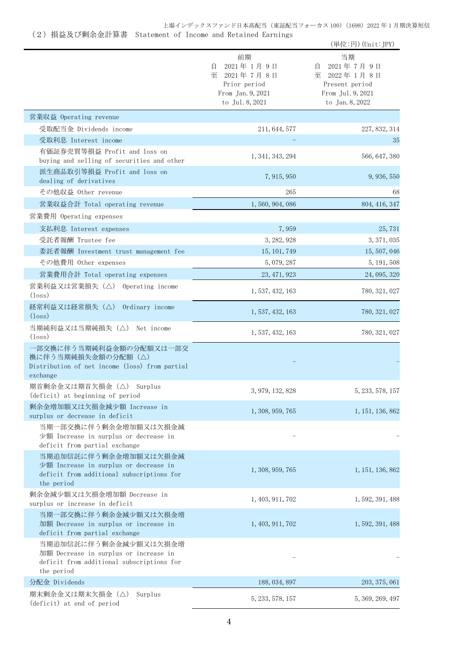# (2)損益及び剰余金計算書 Statement of Income and Retained Earnings

|                                                                                                                           |                                                                                                | (単位:円) (Unit:JPY)                                                                                |
|---------------------------------------------------------------------------------------------------------------------------|------------------------------------------------------------------------------------------------|--------------------------------------------------------------------------------------------------|
|                                                                                                                           | 前期<br>2021年1月9日<br>自<br>至<br>2021年7月8日<br>Prior period<br>From Jan. 9, 2021<br>to Jul. 8, 2021 | 当期<br>2021年7月9日<br>目<br>至<br>2022年1月8日<br>Present period<br>From Jul. 9, 2021<br>to Jan. 8, 2022 |
| 営業収益 Operating revenue                                                                                                    |                                                                                                |                                                                                                  |
| 受取配当金 Dividends income                                                                                                    | 211, 644, 577                                                                                  | 227, 832, 314                                                                                    |
| 受取利息 Interest income                                                                                                      |                                                                                                | 35                                                                                               |
| 有価証券売買等損益 Profit and loss on<br>buying and selling of securities and other                                                | 1, 341, 343, 294                                                                               | 566, 647, 380                                                                                    |
| 派生商品取引等損益 Profit and loss on<br>dealing of derivatives                                                                    | 7, 915, 950                                                                                    | 9, 936, 550                                                                                      |
| その他収益 Other revenue                                                                                                       | 265                                                                                            | 68                                                                                               |
| 営業収益合計 Total operating revenue                                                                                            | 1, 560, 904, 086                                                                               | 804, 416, 347                                                                                    |
| 営業費用 Operating expenses                                                                                                   |                                                                                                |                                                                                                  |
| 支払利息 Interest expenses                                                                                                    | 7,959                                                                                          | 25,731                                                                                           |
| 受託者報酬 Trustee fee                                                                                                         | 3, 282, 928                                                                                    | 3, 371, 035                                                                                      |
| 委託者報酬 Investment trust management fee                                                                                     | 15, 101, 749                                                                                   | 15, 507, 046                                                                                     |
| その他費用 Other expenses                                                                                                      | 5, 079, 287                                                                                    | 5, 191, 508                                                                                      |
| 営業費用合計 Total operating expenses                                                                                           | 23, 471, 923                                                                                   | 24, 095, 320                                                                                     |
| 営業利益又は営業損失 (△) Operating income<br>$(\text{loss})$                                                                        | 1, 537, 432, 163                                                                               | 780, 321, 027                                                                                    |
| 経常利益又は経常損失 (△) Ordinary income<br>$(\text{loss})$                                                                         | 1, 537, 432, 163                                                                               | 780, 321, 027                                                                                    |
| 当期純利益又は当期純損失 (△) Net income<br>(loss)                                                                                     | 1, 537, 432, 163                                                                               | 780, 321, 027                                                                                    |
| 一部交換に伴う当期純利益金額の分配額又は一部交<br>換に伴う当期純損失金額の分配額 (△)<br>Distribution of net income (loss) from partial<br>exchange              |                                                                                                |                                                                                                  |
| 期首剰余金又は期首欠損金 (△) Surplus<br>(deficit) at beginning of period                                                              | 3, 979, 132, 828                                                                               | 5, 233, 578, 157                                                                                 |
| 剰余金増加額又は欠損金減少額 Increase in<br>surplus or decrease in deficit                                                              | 1, 308, 959, 765                                                                               | 1, 151, 136, 862                                                                                 |
| 当期一部交換に伴う剰余金増加額又は欠損金減<br>少額 Increase in surplus or decrease in<br>deficit from partial exchange                           |                                                                                                |                                                                                                  |
| 当期追加信託に伴う剰余金増加額又は欠損金減<br>少額 Increase in surplus or decrease in<br>deficit from additional subscriptions for<br>the period | 1, 308, 959, 765                                                                               | 1, 151, 136, 862                                                                                 |
| 剰余金減少額又は欠損金増加額 Decrease in<br>surplus or increase in deficit                                                              | 1, 403, 911, 702                                                                               | 1, 592, 391, 488                                                                                 |
| 当期一部交換に伴う剰余金減少額又は欠損金増<br>加額 Decrease in surplus or increase in<br>deficit from partial exchange                           | 1, 403, 911, 702                                                                               | 1, 592, 391, 488                                                                                 |
| 当期追加信託に伴う剰余金減少額又は欠損金増<br>加額 Decrease in surplus or increase in<br>deficit from additional subscriptions for<br>the period |                                                                                                |                                                                                                  |
| 分配金 Dividends                                                                                                             | 188, 034, 897                                                                                  | 203, 375, 061                                                                                    |
| 期末剰余金又は期末欠損金(△)<br>Surplus<br>(deficit) at end of period                                                                  | 5, 233, 578, 157                                                                               | 5, 369, 269, 497                                                                                 |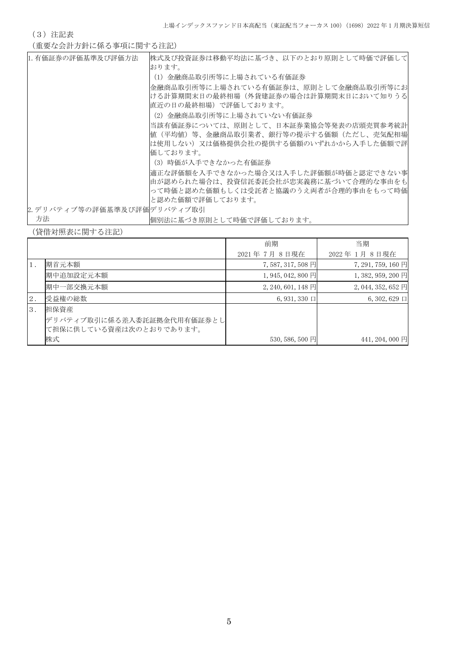(3)注記表

(重要な会計方針に係る事項に関する注記)

| 1. 有価証券の評価基準及び評価方法          | 株式及び投資証券は移動平均法に基づき、以下のとおり原則として時価で評価して |
|-----------------------------|---------------------------------------|
|                             | おります。                                 |
|                             | (1) 金融商品取引所等に上場されている有価証券              |
|                             | 金融商品取引所等に上場されている有価証券は、原則として金融商品取引所等にお |
|                             | ける計算期間末日の最終相場(外貨建証券の場合は計算期間末日において知りうる |
|                             | 直近の日の最終相場)で評価しております。                  |
|                             | (2)金融商品取引所等に上場されていない有価証券              |
|                             | 当該有価証券については、原則として、日本証券業協会等発表の店頭売買参考統計 |
|                             | 値(平均値)等、金融商品取引業者、銀行等の提示する価額(ただし、売気配相場 |
|                             | は使用しない)又は価格提供会社の提供する価額のいずれかから入手した価額で評 |
|                             | 価しております。                              |
|                             | (3)時価が入手できなかった有価証券                    |
|                             | 適正な評価額を入手できなかった場合又は入手した評価額が時価と認定できない事 |
|                             | 由が認められた場合は、投資信託委託会社が忠実義務に基づいて合理的な事由をも |
|                             | って時価と認めた価額もしくは受託者と協議のうえ両者が合理的事由をもって時価 |
|                             | と認めた価額で評価しております。                      |
| 2. デリバティブ等の評価基準及び評価デリバティブ取引 |                                       |
| 方法                          | 個別法に基づき原則として時価で評価しております。              |

(貸借対照表に関する注記)

|       |                            | 前期                   | 当期                 |
|-------|----------------------------|----------------------|--------------------|
|       |                            | 2021年7月8日現在          | 2022年1月8日現在        |
| $1$ . | 期首元本額                      | 7,587,317,508 円      | 7, 291, 759, 160 円 |
|       | 期中追加設定元本額                  | $1,945,042,800$ 円    | $1,382,959,200$ 円  |
|       | 期中一部交換元本額                  | $2, 240, 601, 148$ P | $2,044,352,652$ 円  |
| 2.    | 受益権の総数                     | $6,931,330$ $\Box$   | $6, 302, 629 \Box$ |
| 3.    | 担保資産                       |                      |                    |
|       | デリバティブ取引に係る差入委託証拠金代用有価証券とし |                      |                    |
|       | て担保に供している資産は次のとおりであります。    |                      |                    |
|       | 株式                         | 530, 586, 500 円      | 441, 204, 000 円    |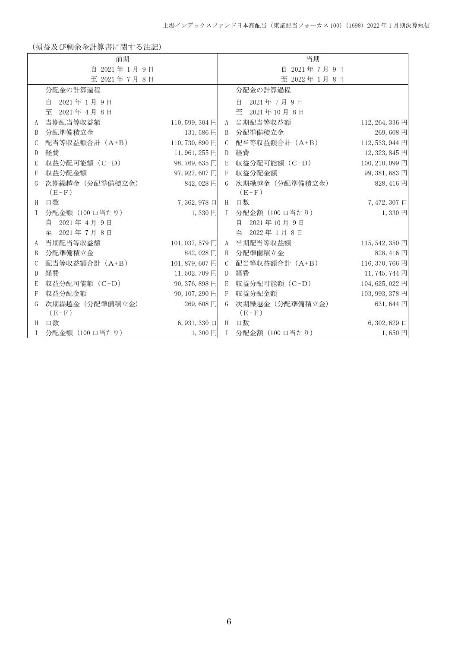(損益及び剰余金計算書に関する注記)

|   | 前期                         |                   |               | 当期                         |                    |
|---|----------------------------|-------------------|---------------|----------------------------|--------------------|
|   | 自 2021年1月9日                |                   | 自 2021年7月9日   |                            |                    |
|   | 至 2021年7月8日                |                   |               | 至 2022年1月8日                |                    |
|   | 分配金の計算過程                   |                   |               | 分配金の計算過程                   |                    |
|   | 2021年1月9日<br>自             |                   |               | 2021年7月9日<br>自             |                    |
|   | 至<br>2021年4月8日             |                   |               | 至 2021年10月8日               |                    |
| A | 当期配当等収益額                   | $110, 599, 304$ 円 |               | A 当期配当等収益額                 | 112, 264, 336 円    |
| B | 分配準備積立金                    | $131,586$ 円       | B             | 分配準備積立金                    | 269,608円           |
| C | 配当等収益額合計 (A+B)             | 110, 730, 890 円   | C             | 配当等収益額合計 (A+B)             | 112, 533, 944 円    |
| D | 経費                         | 11,961,255円       | D             | 経費                         | 12, 323, 845 円     |
| E | 収益分配可能額 (C-D)              | 98,769,635円       | E             | 収益分配可能額 (C-D)              | 100, 210, 099 円    |
| F | 収益分配金額                     | 97, 927, 607 円    | $-F$          | 収益分配金額                     | 99, 381, 683 円     |
| G | 次期繰越金 (分配準備積立金)<br>$(E-F)$ | 842,028 円         | G             | 次期繰越金 (分配準備積立金)<br>$(E-F)$ | 828, 416 円         |
| H | 口数                         | 7,362,978 口       |               | H 口数                       | $7,472,307$ $\Box$ |
| T | 分配金額 (100 口当たり)            | $1,330$ 円         |               | I 分配金額 (100 口当たり)          | $1,330$ 円          |
|   | 自 2021年4月9日                |                   |               | 自<br>2021年10月9日            |                    |
|   | 至 2021年7月8日                |                   |               | 至 2022年1月8日                |                    |
| A | 当期配当等収益額                   | 101, 037, 579 円   |               | A 当期配当等収益額                 | 115, 542, 350 円    |
| B | 分配準備積立金                    | 842,028 円         |               | B 分配準備積立金                  | 828, 416 円         |
| C | 配当等収益額合計 (A+B)             | 101, 879, 607 円   | $\mathcal{C}$ | 配当等収益額合計 (A+B)             | 116, 370, 766 円    |
| D | 経費                         | 11,502,709円       | D             | 経費                         | 11, 745, 744 円     |
| E | 収益分配可能額 (C-D)              | 90, 376, 898 円    |               | E 収益分配可能額 (C-D)            | 104, 625, 022 円    |
| F | 収益分配金額                     | 90, 107, 290 円    | $\mathbf{F}$  | 収益分配金額                     | 103, 993, 378 円    |
| G | 次期繰越金 (分配準備積立金)<br>$(E-F)$ | 269,608円          | G             | 次期繰越金 (分配準備積立金)<br>$(E-F)$ | $631,644 \; \Box$  |
| H | 口数                         | 6,931,330 口 H 口数  |               |                            | $6, 302, 629 \Box$ |
| T | 分配金額(100 口当たり)             | $1,300$ 円         |               | I 分配金額 (100 口当たり)          | $1,650 \;$ 円       |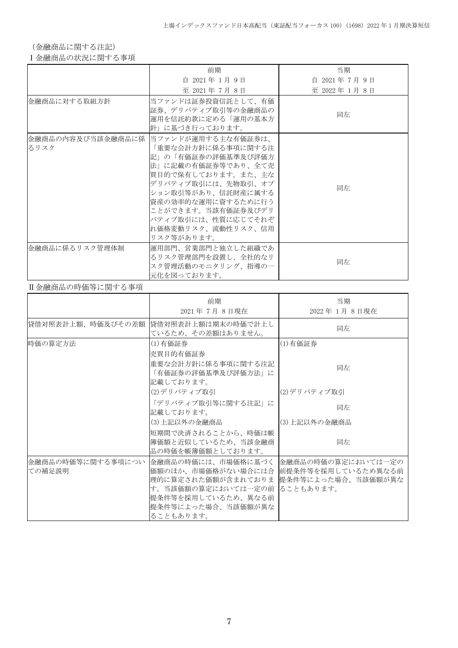(金融商品に関する注記)

Ⅰ金融商品の状況に関する事項

|                | 前期                                                                                                                                                                                                                                                                                 | 当期          |
|----------------|------------------------------------------------------------------------------------------------------------------------------------------------------------------------------------------------------------------------------------------------------------------------------------|-------------|
|                | 自 2021年1月9日                                                                                                                                                                                                                                                                        | 自 2021年7月9日 |
|                | 至 2021年7月8日                                                                                                                                                                                                                                                                        | 至 2022年1月8日 |
| 金融商品に対する取組方針   | 当ファンドは証券投資信託として、有価<br>証券、デリバティブ取引等の金融商品の<br>運用を信託約款に定める「運用の基本方<br>針」に基づき行っております。                                                                                                                                                                                                   | 同左          |
| るリスク           | 金融商品の内容及び当該金融商品に係  当ファンドが運用する主な有価証券は、<br>「重要な会計方針に係る事項に関する注<br> 記」の「有価証券の評価基準及び評価方 <br>法」に記載の有価証券等であり、全て売<br>買目的で保有しております。また、主な<br>デリバティブ取引には、先物取引、オプ<br>ション取引等があり、信託財産に属する<br> 資産の効率的な運用に資するために行う<br>ことができます。当該有価証券及びデリ<br>バティブ取引には、性質に応じてそれぞ<br>れ価格変動リスク、流動性リスク、信用<br>リスク等があります。 | 同左          |
| 金融商品に係るリスク管理体制 | 運用部門、営業部門と独立した組織であ<br>るリスク管理部門を設置し、全社的なリ<br>スク管理活動のモニタリング、指導の一<br>元化を図っております。                                                                                                                                                                                                      | 同左          |

#### Ⅱ金融商品の時価等に関する事項

|                             | 前期<br>2021年7月8日現在                                                                                                                              | 当期<br>2022年1月8日現在                                                              |
|-----------------------------|------------------------------------------------------------------------------------------------------------------------------------------------|--------------------------------------------------------------------------------|
| 貸借対照表計上額、時価及びその差額           | 貸借対照表計上額は期末の時価で計上し<br>ているため、その差額はありません。                                                                                                        | 同左                                                                             |
| 時価の算定方法                     | (1)有価証券<br>売買目的有価証券                                                                                                                            | (1)有価証券                                                                        |
|                             | 重要な会計方針に係る事項に関する注記<br>「有価証券の評価基準及び評価方法」に<br>記載しております。                                                                                          | 同左                                                                             |
|                             | (2)デリバティブ取引                                                                                                                                    | (2)デリバティブ取引                                                                    |
|                             | 「デリバティブ取引等に関する注記」に<br>記載しております。                                                                                                                | 同左                                                                             |
|                             | (3)上記以外の金融商品                                                                                                                                   | (3) 上記以外の金融商品                                                                  |
|                             | 短期間で決済されることから、時価は帳<br>簿価額と近似しているため、当該金融商<br>品の時価を帳簿価額としております。                                                                                  | 同左                                                                             |
| 金融商品の時価等に関する事項につい<br>ての補足説明 | 金融商品の時価には、市場価格に基づく<br>価額のほか、市場価格がない場合には合<br>理的に算定された価額が含まれておりま<br>す。当該価額の算定においては一定の前<br> 提条件等を採用しているため、異なる前<br>提条件等によった場合、当該価額が異な<br>ることもあります。 | 金融商品の時価の算定においては一定の<br> 前提条件等を採用しているため異なる前 <br> 提条件等によった場合、当該価額が異な<br>ることもあります。 |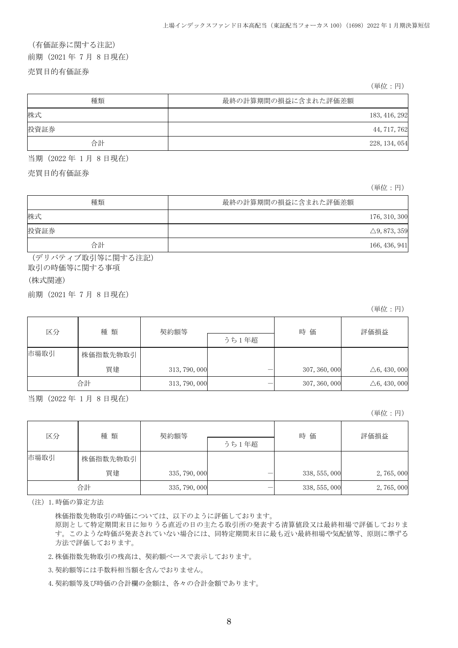# (有価証券に関する注記)

前期(2021 年 7 月 8 日現在)

売買目的有価証券

(単位:円)

| 種類   | 最終の計算期間の損益に含まれた評価差額 |
|------|---------------------|
| 株式   | 183, 416, 292       |
| 投資証券 | 44, 717, 762        |
| 合計   | 228, 134, 054       |

当期(2022 年 1 月 8 日現在)

売買目的有価証券

(単位:円)

| 種類   | 最終の計算期間の損益に含まれた評価差額     |
|------|-------------------------|
| 株式   | 176, 310, 300           |
| 投資証券 | $\triangle$ 9, 873, 359 |
| 合計   | 166, 436, 941           |

(デリバティブ取引等に関する注記)

取引の時価等に関する事項

(株式関連)

前期(2021 年 7 月 8 日現在)

(単位:円)

| 区分   | 種類       | 契約額等          |       | 時 価           | 評価損益                    |
|------|----------|---------------|-------|---------------|-------------------------|
|      |          |               | うち1年超 |               |                         |
| 市場取引 | 株価指数先物取引 |               |       |               |                         |
|      | 買建       | 313, 790, 000 |       | 307, 360, 000 | $\triangle 6, 430, 000$ |
|      | 合計       | 313, 790, 000 |       | 307, 360, 000 | $\triangle 6, 430, 000$ |

当期(2022 年 1 月 8 日現在)

(単位:円)

| 区分   | 種類       | 契約額等          |       | 時価            | 評価損益      |
|------|----------|---------------|-------|---------------|-----------|
|      |          |               | うち1年超 |               |           |
| 市場取引 | 株価指数先物取引 |               |       |               |           |
|      | 買建       | 335, 790, 000 |       | 338, 555, 000 | 2,765,000 |
|      | 合計       | 335, 790, 000 |       | 338, 555, 000 | 2,765,000 |

(注)1.時価の算定方法

株価指数先物取引の時価については、以下のように評価しております。

原則として特定期間末日に知りうる直近の日の主たる取引所の発表する清算値段又は最終相場で評価しておりま す。このような時価が発表されていない場合には、同特定期間末日に最も近い最終相場や気配値等、原則に準ずる 方法で評価しております。

2.株価指数先物取引の残高は、契約額ベースで表示しております。

3.契約額等には手数料相当額を含んでおりません。

4.契約額等及び時価の合計欄の金額は、各々の合計金額であります。